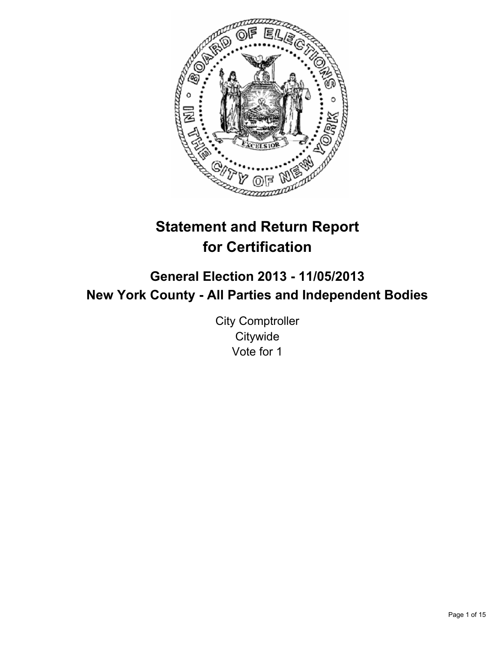

# **Statement and Return Report for Certification**

# **General Election 2013 - 11/05/2013 New York County - All Parties and Independent Bodies**

City Comptroller **Citywide** Vote for 1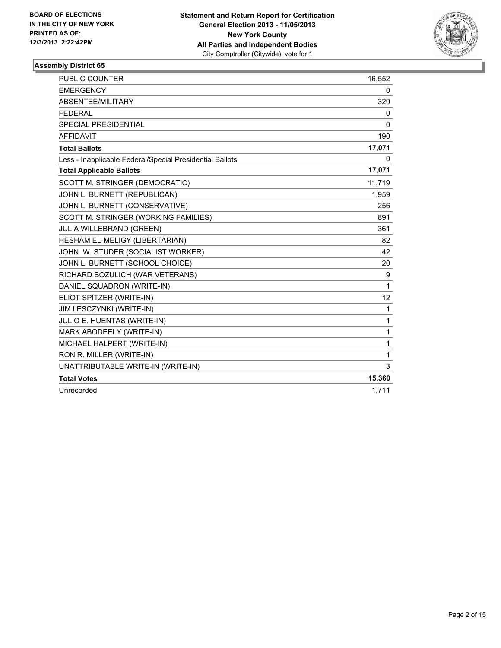

| <b>PUBLIC COUNTER</b>                                    | 16,552       |
|----------------------------------------------------------|--------------|
| <b>EMERGENCY</b>                                         | 0            |
| ABSENTEE/MILITARY                                        | 329          |
| <b>FEDERAL</b>                                           | 0            |
| <b>SPECIAL PRESIDENTIAL</b>                              | $\mathbf{0}$ |
| <b>AFFIDAVIT</b>                                         | 190          |
| <b>Total Ballots</b>                                     | 17,071       |
| Less - Inapplicable Federal/Special Presidential Ballots | 0            |
| <b>Total Applicable Ballots</b>                          | 17,071       |
| SCOTT M. STRINGER (DEMOCRATIC)                           | 11,719       |
| JOHN L. BURNETT (REPUBLICAN)                             | 1,959        |
| JOHN L. BURNETT (CONSERVATIVE)                           | 256          |
| SCOTT M. STRINGER (WORKING FAMILIES)                     | 891          |
| JULIA WILLEBRAND (GREEN)                                 | 361          |
| HESHAM EL-MELIGY (LIBERTARIAN)                           | 82           |
| JOHN W. STUDER (SOCIALIST WORKER)                        | 42           |
| JOHN L. BURNETT (SCHOOL CHOICE)                          | 20           |
| RICHARD BOZULICH (WAR VETERANS)                          | 9            |
| DANIEL SQUADRON (WRITE-IN)                               | 1            |
| ELIOT SPITZER (WRITE-IN)                                 | 12           |
| JIM LESCZYNKI (WRITE-IN)                                 | 1            |
| JULIO E. HUENTAS (WRITE-IN)                              | 1            |
| MARK ABODEELY (WRITE-IN)                                 | 1            |
| MICHAEL HALPERT (WRITE-IN)                               | 1            |
| RON R. MILLER (WRITE-IN)                                 | 1            |
| UNATTRIBUTABLE WRITE-IN (WRITE-IN)                       | 3            |
| <b>Total Votes</b>                                       | 15,360       |
| Unrecorded                                               | 1,711        |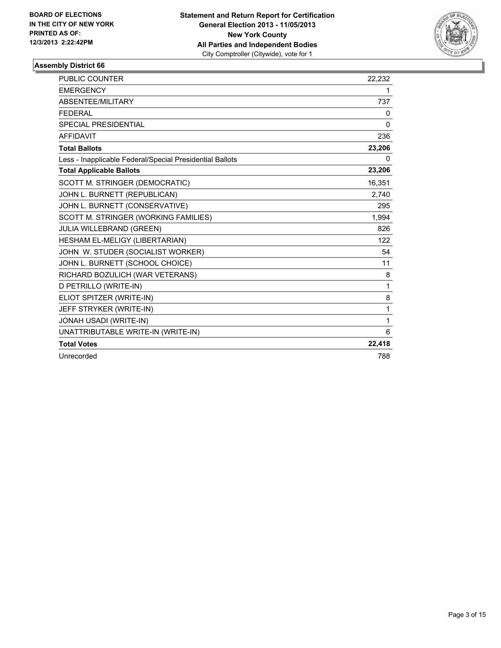

| <b>PUBLIC COUNTER</b>                                    | 22,232       |
|----------------------------------------------------------|--------------|
| <b>EMERGENCY</b>                                         | 1            |
| ABSENTEE/MILITARY                                        | 737          |
| <b>FFDFRAI</b>                                           | 0            |
| <b>SPECIAL PRESIDENTIAL</b>                              | $\mathbf{0}$ |
| <b>AFFIDAVIT</b>                                         | 236          |
| <b>Total Ballots</b>                                     | 23,206       |
| Less - Inapplicable Federal/Special Presidential Ballots | 0            |
| <b>Total Applicable Ballots</b>                          | 23,206       |
| SCOTT M. STRINGER (DEMOCRATIC)                           | 16,351       |
| JOHN L. BURNETT (REPUBLICAN)                             | 2,740        |
| JOHN L. BURNETT (CONSERVATIVE)                           | 295          |
| SCOTT M. STRINGER (WORKING FAMILIES)                     | 1,994        |
| <b>JULIA WILLEBRAND (GREEN)</b>                          | 826          |
| HESHAM EL-MELIGY (LIBERTARIAN)                           | 122          |
| JOHN W. STUDER (SOCIALIST WORKER)                        | 54           |
| JOHN L. BURNETT (SCHOOL CHOICE)                          | 11           |
| RICHARD BOZULICH (WAR VETERANS)                          | 8            |
| D PETRILLO (WRITE-IN)                                    | 1            |
| ELIOT SPITZER (WRITE-IN)                                 | 8            |
| JEFF STRYKER (WRITE-IN)                                  | 1            |
| JONAH USADI (WRITE-IN)                                   | 1            |
| UNATTRIBUTABLE WRITE-IN (WRITE-IN)                       | 6            |
| <b>Total Votes</b>                                       | 22,418       |
| Unrecorded                                               | 788          |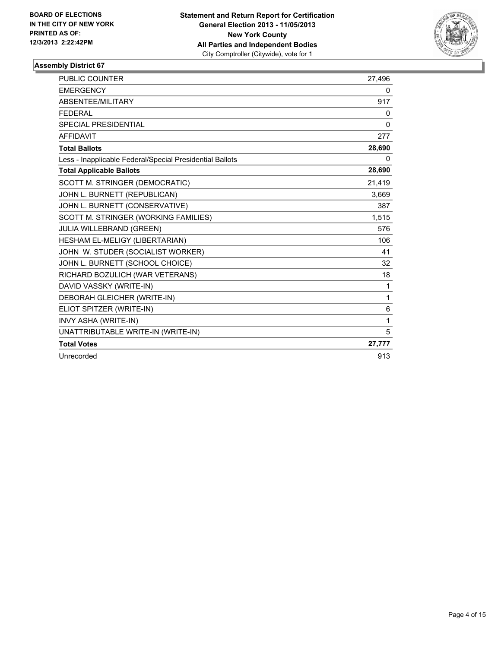

| PUBLIC COUNTER                                           | 27,496       |
|----------------------------------------------------------|--------------|
| <b>EMERGENCY</b>                                         | 0            |
| <b>ABSENTEE/MILITARY</b>                                 | 917          |
| <b>FEDERAL</b>                                           | 0            |
| <b>SPECIAL PRESIDENTIAL</b>                              | $\mathbf{0}$ |
| <b>AFFIDAVIT</b>                                         | 277          |
| <b>Total Ballots</b>                                     | 28,690       |
| Less - Inapplicable Federal/Special Presidential Ballots | 0            |
| <b>Total Applicable Ballots</b>                          | 28,690       |
| SCOTT M. STRINGER (DEMOCRATIC)                           | 21,419       |
| JOHN L. BURNETT (REPUBLICAN)                             | 3,669        |
| JOHN L. BURNETT (CONSERVATIVE)                           | 387          |
| SCOTT M. STRINGER (WORKING FAMILIES)                     | 1,515        |
| <b>JULIA WILLEBRAND (GREEN)</b>                          | 576          |
| HESHAM EL-MELIGY (LIBERTARIAN)                           | 106          |
| JOHN W. STUDER (SOCIALIST WORKER)                        | 41           |
| JOHN L. BURNETT (SCHOOL CHOICE)                          | 32           |
| RICHARD BOZULICH (WAR VETERANS)                          | 18           |
| DAVID VASSKY (WRITE-IN)                                  | 1            |
| DEBORAH GLEICHER (WRITE-IN)                              | 1            |
| ELIOT SPITZER (WRITE-IN)                                 | 6            |
| INVY ASHA (WRITE-IN)                                     | 1            |
| UNATTRIBUTABLE WRITE-IN (WRITE-IN)                       | 5            |
| <b>Total Votes</b>                                       | 27,777       |
| Unrecorded                                               | 913          |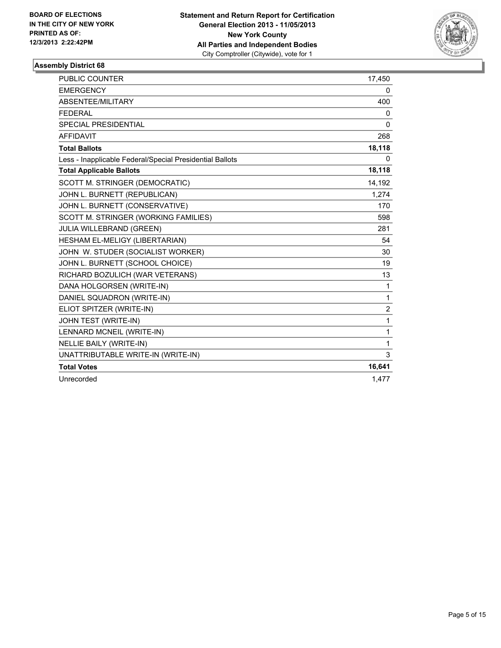

| <b>PUBLIC COUNTER</b>                                    | 17,450       |
|----------------------------------------------------------|--------------|
| <b>EMERGENCY</b>                                         | 0            |
| ABSENTEE/MILITARY                                        | 400          |
| <b>FEDERAL</b>                                           | 0            |
| <b>SPECIAL PRESIDENTIAL</b>                              | $\mathbf{0}$ |
| <b>AFFIDAVIT</b>                                         | 268          |
| <b>Total Ballots</b>                                     | 18,118       |
| Less - Inapplicable Federal/Special Presidential Ballots | 0            |
| <b>Total Applicable Ballots</b>                          | 18,118       |
| SCOTT M. STRINGER (DEMOCRATIC)                           | 14,192       |
| JOHN L. BURNETT (REPUBLICAN)                             | 1,274        |
| JOHN L. BURNETT (CONSERVATIVE)                           | 170          |
| SCOTT M. STRINGER (WORKING FAMILIES)                     | 598          |
| <b>JULIA WILLEBRAND (GREEN)</b>                          | 281          |
| HESHAM EL-MELIGY (LIBERTARIAN)                           | 54           |
| JOHN W. STUDER (SOCIALIST WORKER)                        | 30           |
| JOHN L. BURNETT (SCHOOL CHOICE)                          | 19           |
| RICHARD BOZULICH (WAR VETERANS)                          | 13           |
| DANA HOLGORSEN (WRITE-IN)                                | $\mathbf{1}$ |
| DANIEL SQUADRON (WRITE-IN)                               | $\mathbf{1}$ |
| ELIOT SPITZER (WRITE-IN)                                 | 2            |
| JOHN TEST (WRITE-IN)                                     | 1            |
| LENNARD MCNEIL (WRITE-IN)                                | 1            |
| <b>NELLIE BAILY (WRITE-IN)</b>                           | 1            |
| UNATTRIBUTABLE WRITE-IN (WRITE-IN)                       | 3            |
| <b>Total Votes</b>                                       | 16,641       |
| Unrecorded                                               | 1,477        |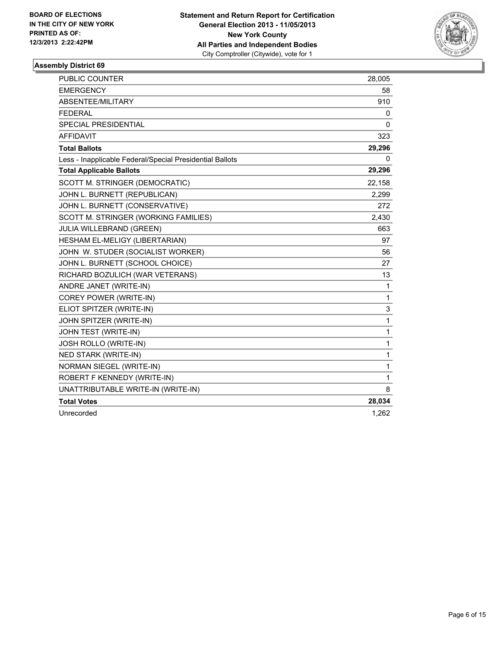

| <b>PUBLIC COUNTER</b>                                    | 28,005 |
|----------------------------------------------------------|--------|
| <b>EMERGENCY</b>                                         | 58     |
| ABSENTEE/MILITARY                                        | 910    |
| <b>FEDERAL</b>                                           | 0      |
| <b>SPECIAL PRESIDENTIAL</b>                              | 0      |
| <b>AFFIDAVIT</b>                                         | 323    |
| <b>Total Ballots</b>                                     | 29,296 |
| Less - Inapplicable Federal/Special Presidential Ballots | 0      |
| <b>Total Applicable Ballots</b>                          | 29,296 |
| SCOTT M. STRINGER (DEMOCRATIC)                           | 22,158 |
| JOHN L. BURNETT (REPUBLICAN)                             | 2,299  |
| JOHN L. BURNETT (CONSERVATIVE)                           | 272    |
| SCOTT M. STRINGER (WORKING FAMILIES)                     | 2,430  |
| JULIA WILLEBRAND (GREEN)                                 | 663    |
| HESHAM EL-MELIGY (LIBERTARIAN)                           | 97     |
| JOHN W. STUDER (SOCIALIST WORKER)                        | 56     |
| JOHN L. BURNETT (SCHOOL CHOICE)                          | 27     |
| RICHARD BOZULICH (WAR VETERANS)                          | 13     |
| ANDRE JANET (WRITE-IN)                                   | 1      |
| COREY POWER (WRITE-IN)                                   | 1      |
| ELIOT SPITZER (WRITE-IN)                                 | 3      |
| JOHN SPITZER (WRITE-IN)                                  | 1      |
| JOHN TEST (WRITE-IN)                                     | 1      |
| JOSH ROLLO (WRITE-IN)                                    | 1      |
| <b>NED STARK (WRITE-IN)</b>                              | 1      |
| NORMAN SIEGEL (WRITE-IN)                                 | 1      |
| ROBERT F KENNEDY (WRITE-IN)                              | 1      |
| UNATTRIBUTABLE WRITE-IN (WRITE-IN)                       | 8      |
| <b>Total Votes</b>                                       | 28,034 |
| Unrecorded                                               | 1,262  |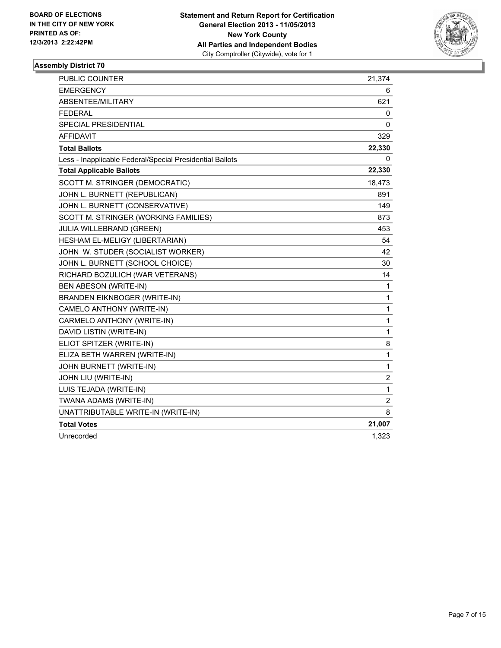

| <b>PUBLIC COUNTER</b>                                    | 21,374           |
|----------------------------------------------------------|------------------|
| <b>EMERGENCY</b>                                         | 6                |
| ABSENTEE/MILITARY                                        | 621              |
| <b>FEDERAL</b>                                           | 0                |
| <b>SPECIAL PRESIDENTIAL</b>                              | 0                |
| <b>AFFIDAVIT</b>                                         | 329              |
| <b>Total Ballots</b>                                     | 22,330           |
| Less - Inapplicable Federal/Special Presidential Ballots | 0                |
| <b>Total Applicable Ballots</b>                          | 22,330           |
| SCOTT M. STRINGER (DEMOCRATIC)                           | 18,473           |
| JOHN L. BURNETT (REPUBLICAN)                             | 891              |
| JOHN L. BURNETT (CONSERVATIVE)                           | 149              |
| SCOTT M. STRINGER (WORKING FAMILIES)                     | 873              |
| JULIA WILLEBRAND (GREEN)                                 | 453              |
| HESHAM EL-MELIGY (LIBERTARIAN)                           | 54               |
| JOHN W. STUDER (SOCIALIST WORKER)                        | 42               |
| JOHN L. BURNETT (SCHOOL CHOICE)                          | 30               |
| RICHARD BOZULICH (WAR VETERANS)                          | 14               |
| BEN ABESON (WRITE-IN)                                    | $\mathbf{1}$     |
| <b>BRANDEN EIKNBOGER (WRITE-IN)</b>                      | 1                |
| CAMELO ANTHONY (WRITE-IN)                                | $\mathbf{1}$     |
| CARMELO ANTHONY (WRITE-IN)                               | $\mathbf{1}$     |
| DAVID LISTIN (WRITE-IN)                                  | $\mathbf{1}$     |
| ELIOT SPITZER (WRITE-IN)                                 | 8                |
| ELIZA BETH WARREN (WRITE-IN)                             | $\mathbf{1}$     |
| JOHN BURNETT (WRITE-IN)                                  | 1                |
| JOHN LIU (WRITE-IN)                                      | $\boldsymbol{2}$ |
| LUIS TEJADA (WRITE-IN)                                   | $\mathbf{1}$     |
| TWANA ADAMS (WRITE-IN)                                   | $\boldsymbol{2}$ |
| UNATTRIBUTABLE WRITE-IN (WRITE-IN)                       | 8                |
| <b>Total Votes</b>                                       | 21,007           |
| Unrecorded                                               | 1,323            |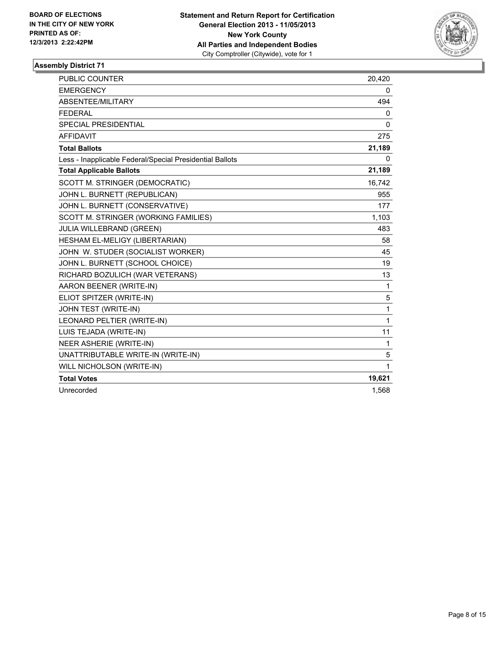

| <b>PUBLIC COUNTER</b>                                    | 20,420       |
|----------------------------------------------------------|--------------|
| <b>EMERGENCY</b>                                         | 0            |
| ABSENTEE/MILITARY                                        | 494          |
| <b>FEDERAL</b>                                           | 0            |
| <b>SPECIAL PRESIDENTIAL</b>                              | $\mathbf{0}$ |
| <b>AFFIDAVIT</b>                                         | 275          |
| <b>Total Ballots</b>                                     | 21,189       |
| Less - Inapplicable Federal/Special Presidential Ballots | 0            |
| <b>Total Applicable Ballots</b>                          | 21,189       |
| SCOTT M. STRINGER (DEMOCRATIC)                           | 16,742       |
| JOHN L. BURNETT (REPUBLICAN)                             | 955          |
| JOHN L. BURNETT (CONSERVATIVE)                           | 177          |
| SCOTT M. STRINGER (WORKING FAMILIES)                     | 1,103        |
| <b>JULIA WILLEBRAND (GREEN)</b>                          | 483          |
| HESHAM EL-MELIGY (LIBERTARIAN)                           | 58           |
| JOHN W. STUDER (SOCIALIST WORKER)                        | 45           |
| JOHN L. BURNETT (SCHOOL CHOICE)                          | 19           |
| RICHARD BOZULICH (WAR VETERANS)                          | 13           |
| AARON BEENER (WRITE-IN)                                  | 1            |
| ELIOT SPITZER (WRITE-IN)                                 | 5            |
| JOHN TEST (WRITE-IN)                                     | 1            |
| LEONARD PELTIER (WRITE-IN)                               | 1            |
| LUIS TEJADA (WRITE-IN)                                   | 11           |
| NEER ASHERIE (WRITE-IN)                                  | 1            |
| UNATTRIBUTABLE WRITE-IN (WRITE-IN)                       | 5            |
| WILL NICHOLSON (WRITE-IN)                                | 1            |
| <b>Total Votes</b>                                       | 19,621       |
| Unrecorded                                               | 1,568        |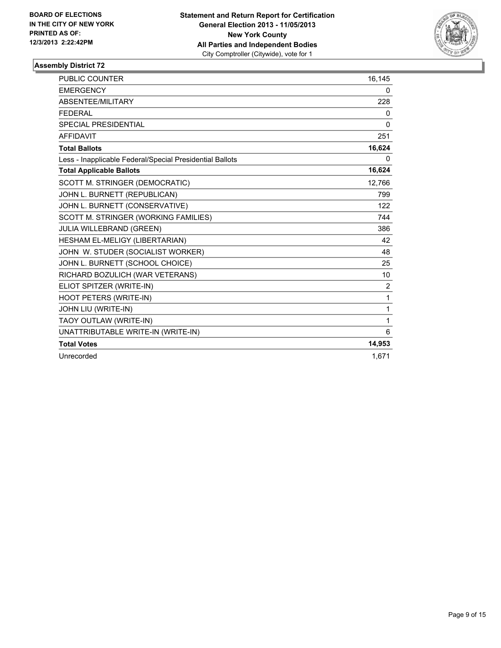

| PUBLIC COUNTER                                           | 16,145 |
|----------------------------------------------------------|--------|
| <b>EMERGENCY</b>                                         | 0      |
| ABSENTEE/MILITARY                                        | 228    |
| <b>FFDFRAI</b>                                           | 0      |
| <b>SPECIAL PRESIDENTIAL</b>                              | 0      |
| <b>AFFIDAVIT</b>                                         | 251    |
| <b>Total Ballots</b>                                     | 16,624 |
| Less - Inapplicable Federal/Special Presidential Ballots | 0      |
| <b>Total Applicable Ballots</b>                          | 16,624 |
| SCOTT M. STRINGER (DEMOCRATIC)                           | 12,766 |
| JOHN L. BURNETT (REPUBLICAN)                             | 799    |
| JOHN L. BURNETT (CONSERVATIVE)                           | 122    |
| SCOTT M. STRINGER (WORKING FAMILIES)                     | 744    |
| <b>JULIA WILLEBRAND (GREEN)</b>                          | 386    |
| HESHAM EL-MELIGY (LIBERTARIAN)                           | 42     |
| JOHN W. STUDER (SOCIALIST WORKER)                        | 48     |
| JOHN L. BURNETT (SCHOOL CHOICE)                          | 25     |
| RICHARD BOZULICH (WAR VETERANS)                          | 10     |
| ELIOT SPITZER (WRITE-IN)                                 | 2      |
| <b>HOOT PETERS (WRITE-IN)</b>                            | 1      |
| JOHN LIU (WRITE-IN)                                      | 1      |
| TAOY OUTLAW (WRITE-IN)                                   | 1      |
| UNATTRIBUTABLE WRITE-IN (WRITE-IN)                       | 6      |
| <b>Total Votes</b>                                       | 14,953 |
| Unrecorded                                               | 1.671  |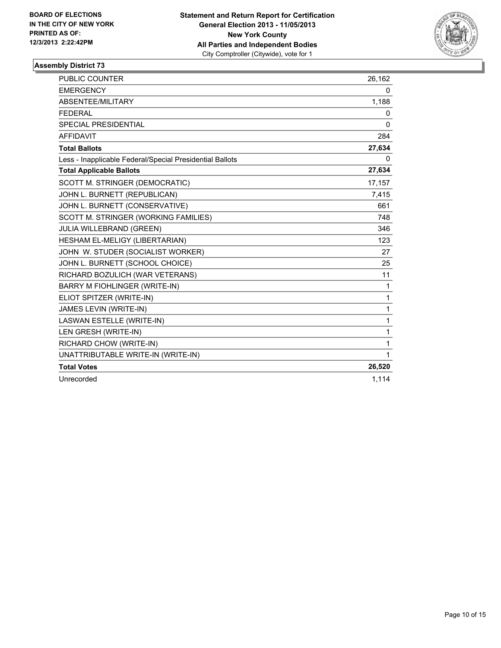

| <b>PUBLIC COUNTER</b>                                    | 26,162       |
|----------------------------------------------------------|--------------|
| <b>EMERGENCY</b>                                         | 0            |
| ABSENTEE/MILITARY                                        | 1,188        |
| <b>FEDERAL</b>                                           | 0            |
| <b>SPECIAL PRESIDENTIAL</b>                              | $\Omega$     |
| <b>AFFIDAVIT</b>                                         | 284          |
| <b>Total Ballots</b>                                     | 27,634       |
| Less - Inapplicable Federal/Special Presidential Ballots | 0            |
| <b>Total Applicable Ballots</b>                          | 27,634       |
| SCOTT M. STRINGER (DEMOCRATIC)                           | 17,157       |
| JOHN L. BURNETT (REPUBLICAN)                             | 7,415        |
| JOHN L. BURNETT (CONSERVATIVE)                           | 661          |
| SCOTT M. STRINGER (WORKING FAMILIES)                     | 748          |
| JULIA WILLEBRAND (GREEN)                                 | 346          |
| HESHAM EL-MELIGY (LIBERTARIAN)                           | 123          |
| JOHN W. STUDER (SOCIALIST WORKER)                        | 27           |
| JOHN L. BURNETT (SCHOOL CHOICE)                          | 25           |
| RICHARD BOZULICH (WAR VETERANS)                          | 11           |
| <b>BARRY M FIOHLINGER (WRITE-IN)</b>                     | 1            |
| ELIOT SPITZER (WRITE-IN)                                 | $\mathbf{1}$ |
| JAMES LEVIN (WRITE-IN)                                   | 1            |
| LASWAN ESTELLE (WRITE-IN)                                | 1            |
| LEN GRESH (WRITE-IN)                                     | 1            |
| RICHARD CHOW (WRITE-IN)                                  | 1            |
| UNATTRIBUTABLE WRITE-IN (WRITE-IN)                       | 1            |
| <b>Total Votes</b>                                       | 26,520       |
| Unrecorded                                               | 1,114        |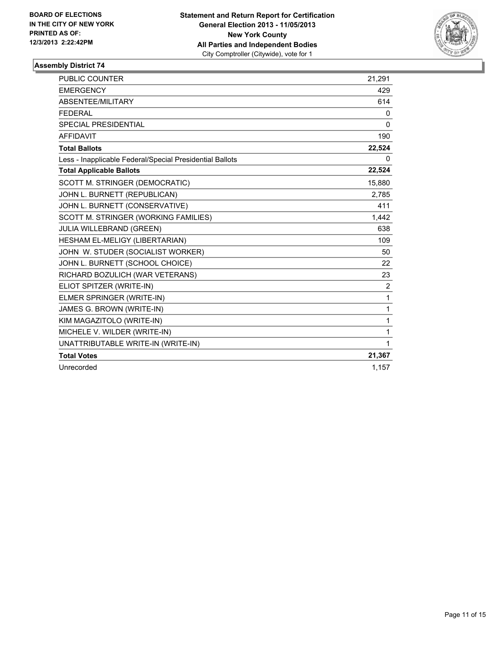

| <b>PUBLIC COUNTER</b>                                    | 21,291   |
|----------------------------------------------------------|----------|
| <b>EMERGENCY</b>                                         | 429      |
| ABSENTEE/MILITARY                                        | 614      |
| <b>FEDERAL</b>                                           | 0        |
| SPECIAL PRESIDENTIAL                                     | $\Omega$ |
| <b>AFFIDAVIT</b>                                         | 190      |
| <b>Total Ballots</b>                                     | 22,524   |
| Less - Inapplicable Federal/Special Presidential Ballots | 0        |
| <b>Total Applicable Ballots</b>                          | 22,524   |
| SCOTT M. STRINGER (DEMOCRATIC)                           | 15,880   |
| JOHN L. BURNETT (REPUBLICAN)                             | 2,785    |
| JOHN L. BURNETT (CONSERVATIVE)                           | 411      |
| SCOTT M. STRINGER (WORKING FAMILIES)                     | 1,442    |
| JULIA WILLEBRAND (GREEN)                                 | 638      |
| HESHAM EL-MELIGY (LIBERTARIAN)                           | 109      |
| JOHN W. STUDER (SOCIALIST WORKER)                        | 50       |
| JOHN L. BURNETT (SCHOOL CHOICE)                          | 22       |
| RICHARD BOZULICH (WAR VETERANS)                          | 23       |
| ELIOT SPITZER (WRITE-IN)                                 | 2        |
| ELMER SPRINGER (WRITE-IN)                                | 1        |
| JAMES G. BROWN (WRITE-IN)                                | 1        |
| KIM MAGAZITOLO (WRITE-IN)                                | 1        |
| MICHELE V. WILDER (WRITE-IN)                             | 1        |
| UNATTRIBUTABLE WRITE-IN (WRITE-IN)                       | 1        |
| <b>Total Votes</b>                                       | 21,367   |
| Unrecorded                                               | 1,157    |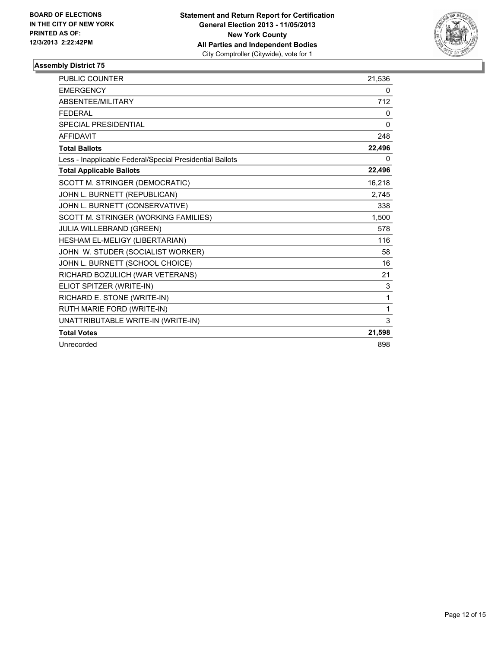

| <b>PUBLIC COUNTER</b>                                    | 21,536   |
|----------------------------------------------------------|----------|
| <b>EMERGENCY</b>                                         | 0        |
| <b>ABSENTEE/MILITARY</b>                                 | 712      |
| <b>FEDERAL</b>                                           | 0        |
| <b>SPECIAL PRESIDENTIAL</b>                              | $\Omega$ |
| <b>AFFIDAVIT</b>                                         | 248      |
| <b>Total Ballots</b>                                     | 22,496   |
| Less - Inapplicable Federal/Special Presidential Ballots | $\Omega$ |
| <b>Total Applicable Ballots</b>                          | 22,496   |
| SCOTT M. STRINGER (DEMOCRATIC)                           | 16,218   |
| JOHN L. BURNETT (REPUBLICAN)                             | 2,745    |
| JOHN L. BURNETT (CONSERVATIVE)                           | 338      |
| SCOTT M. STRINGER (WORKING FAMILIES)                     | 1,500    |
| <b>JULIA WILLEBRAND (GREEN)</b>                          | 578      |
| HESHAM EL-MELIGY (LIBERTARIAN)                           | 116      |
| JOHN W. STUDER (SOCIALIST WORKER)                        | 58       |
| JOHN L. BURNETT (SCHOOL CHOICE)                          | 16       |
| RICHARD BOZULICH (WAR VETERANS)                          | 21       |
| ELIOT SPITZER (WRITE-IN)                                 | 3        |
| RICHARD E. STONE (WRITE-IN)                              | 1        |
| RUTH MARIE FORD (WRITE-IN)                               | 1        |
| UNATTRIBUTABLE WRITE-IN (WRITE-IN)                       | 3        |
| <b>Total Votes</b>                                       | 21,598   |
| Unrecorded                                               | 898      |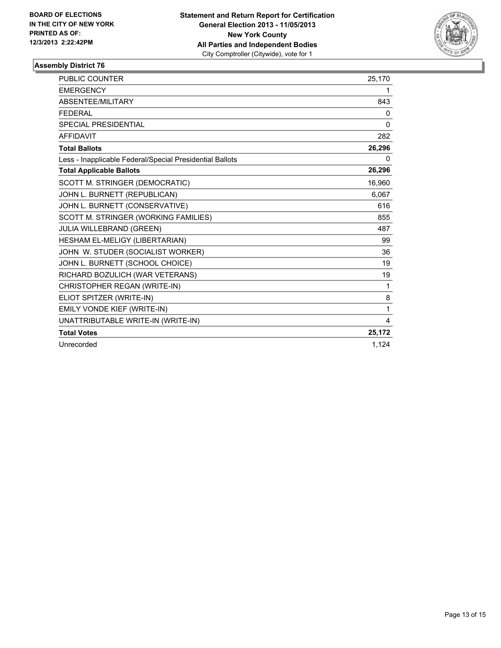

| <b>PUBLIC COUNTER</b>                                    | 25,170       |
|----------------------------------------------------------|--------------|
| <b>EMERGENCY</b>                                         | 1            |
| ABSENTEE/MILITARY                                        | 843          |
| <b>FEDERAL</b>                                           | 0            |
| SPECIAL PRESIDENTIAL                                     | 0            |
| <b>AFFIDAVIT</b>                                         | 282          |
| <b>Total Ballots</b>                                     | 26,296       |
| Less - Inapplicable Federal/Special Presidential Ballots | 0            |
| <b>Total Applicable Ballots</b>                          | 26,296       |
| SCOTT M. STRINGER (DEMOCRATIC)                           | 16,960       |
| JOHN L. BURNETT (REPUBLICAN)                             | 6,067        |
| JOHN L. BURNETT (CONSERVATIVE)                           | 616          |
| SCOTT M. STRINGER (WORKING FAMILIES)                     | 855          |
| <b>JULIA WILLEBRAND (GREEN)</b>                          | 487          |
| HESHAM EL-MELIGY (LIBERTARIAN)                           | 99           |
| JOHN W. STUDER (SOCIALIST WORKER)                        | 36           |
| JOHN L. BURNETT (SCHOOL CHOICE)                          | 19           |
| RICHARD BOZULICH (WAR VETERANS)                          | 19           |
| CHRISTOPHER REGAN (WRITE-IN)                             | $\mathbf{1}$ |
| ELIOT SPITZER (WRITE-IN)                                 | 8            |
| EMILY VONDE KIEF (WRITE-IN)                              | 1            |
| UNATTRIBUTABLE WRITE-IN (WRITE-IN)                       | 4            |
| <b>Total Votes</b>                                       | 25,172       |
| Unrecorded                                               | 1.124        |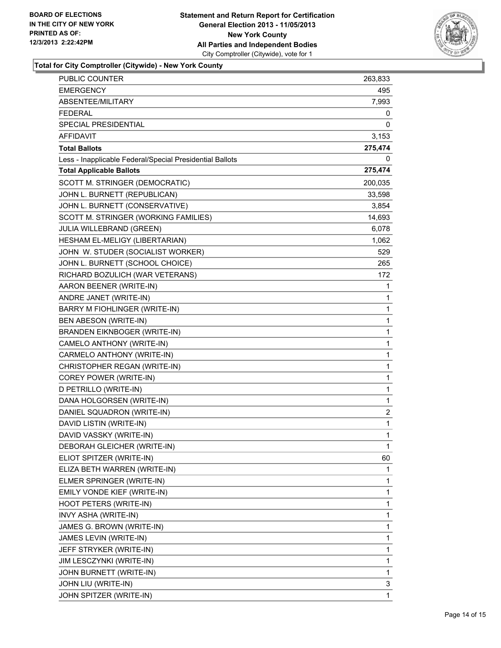

**Total for City Comptroller (Citywide) - New York County**

| PUBLIC COUNTER                                           | 263,833      |
|----------------------------------------------------------|--------------|
| <b>EMERGENCY</b>                                         | 495          |
| ABSENTEE/MILITARY                                        | 7,993        |
| <b>FEDERAL</b>                                           | 0            |
| SPECIAL PRESIDENTIAL                                     | 0            |
| <b>AFFIDAVIT</b>                                         | 3,153        |
| <b>Total Ballots</b>                                     | 275,474      |
| Less - Inapplicable Federal/Special Presidential Ballots | 0            |
| <b>Total Applicable Ballots</b>                          | 275,474      |
| SCOTT M. STRINGER (DEMOCRATIC)                           | 200,035      |
| JOHN L. BURNETT (REPUBLICAN)                             | 33,598       |
| JOHN L. BURNETT (CONSERVATIVE)                           | 3,854        |
| SCOTT M. STRINGER (WORKING FAMILIES)                     | 14,693       |
| JULIA WILLEBRAND (GREEN)                                 | 6,078        |
| HESHAM EL-MELIGY (LIBERTARIAN)                           | 1,062        |
| JOHN W. STUDER (SOCIALIST WORKER)                        | 529          |
| JOHN L. BURNETT (SCHOOL CHOICE)                          | 265          |
| RICHARD BOZULICH (WAR VETERANS)                          | 172          |
| AARON BEENER (WRITE-IN)                                  | 1            |
| ANDRE JANET (WRITE-IN)                                   | 1            |
| BARRY M FIOHLINGER (WRITE-IN)                            | 1            |
| BEN ABESON (WRITE-IN)                                    | 1            |
| <b>BRANDEN EIKNBOGER (WRITE-IN)</b>                      | 1            |
| CAMELO ANTHONY (WRITE-IN)                                | $\mathbf{1}$ |
| CARMELO ANTHONY (WRITE-IN)                               | 1            |
| CHRISTOPHER REGAN (WRITE-IN)                             | 1            |
| COREY POWER (WRITE-IN)                                   | $\mathbf{1}$ |
| D PETRILLO (WRITE-IN)                                    | 1            |
| DANA HOLGORSEN (WRITE-IN)                                | 1            |
| DANIEL SQUADRON (WRITE-IN)                               | 2            |
| DAVID LISTIN (WRITE-IN)                                  | 1            |
| DAVID VASSKY (WRITE-IN)                                  | 1            |
| DEBORAH GLEICHER (WRITE-IN)                              | 1            |
| ELIOT SPITZER (WRITE-IN)                                 | 60           |
| ELIZA BETH WARREN (WRITE-IN)                             | 1            |
| ELMER SPRINGER (WRITE-IN)                                | 1            |
| EMILY VONDE KIEF (WRITE-IN)                              | 1            |
| HOOT PETERS (WRITE-IN)                                   | 1            |
| INVY ASHA (WRITE-IN)                                     | 1            |
| JAMES G. BROWN (WRITE-IN)                                | 1            |
| JAMES LEVIN (WRITE-IN)                                   | 1            |
| JEFF STRYKER (WRITE-IN)                                  | 1            |
| JIM LESCZYNKI (WRITE-IN)                                 | 1            |
| JOHN BURNETT (WRITE-IN)                                  | 1            |
| JOHN LIU (WRITE-IN)                                      | 3            |
| JOHN SPITZER (WRITE-IN)                                  | 1            |